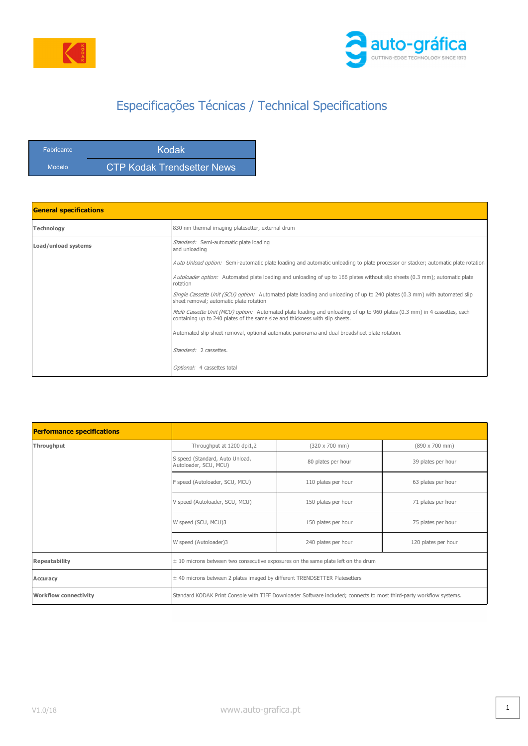



## Especificações Técnicas / Technical Specifications

| <b>Fabricante</b> | Kodak                      |
|-------------------|----------------------------|
| Modelo            | CTP Kodak Trendsetter News |

| <b>General specifications</b> |                                                                                                                                                                                                           |
|-------------------------------|-----------------------------------------------------------------------------------------------------------------------------------------------------------------------------------------------------------|
| Technology                    | 830 nm thermal imaging platesetter, external drum                                                                                                                                                         |
| Load/unload systems           | Standard: Semi-automatic plate loading<br>and unloading                                                                                                                                                   |
|                               | Auto Unload option: Semi-automatic plate loading and automatic unloading to plate processor or stacker; automatic plate rotation                                                                          |
|                               | Autoloader option: Automated plate loading and unloading of up to 166 plates without slip sheets (0.3 mm); automatic plate<br>rotation                                                                    |
|                               | Single Cassette Unit (SCU) option: Automated plate loading and unloading of up to 240 plates (0.3 mm) with automated slip<br>sheet removal; automatic plate rotation                                      |
|                               | Multi Cassette Unit (MCU) option: Automated plate loading and unloading of up to 960 plates (0.3 mm) in 4 cassettes, each<br>containing up to 240 plates of the same size and thickness with slip sheets. |
|                               | Automated slip sheet removal, optional automatic panorama and dual broadsheet plate rotation.                                                                                                             |
|                               | Standard: 2 cassettes.                                                                                                                                                                                    |
|                               | Optional: 4 cassettes total                                                                                                                                                                               |

| <b>Performance specifications</b> |                                                                                                                     |                               |                               |
|-----------------------------------|---------------------------------------------------------------------------------------------------------------------|-------------------------------|-------------------------------|
| Throughput                        | Throughput at 1200 dpi1,2                                                                                           | $(320 \times 700 \text{ mm})$ | $(890 \times 700 \text{ mm})$ |
|                                   | S speed (Standard, Auto Unload,<br>Autoloader, SCU, MCU)                                                            | 80 plates per hour            | 39 plates per hour            |
|                                   | F speed (Autoloader, SCU, MCU)                                                                                      | 110 plates per hour           | 63 plates per hour            |
|                                   | V speed (Autoloader, SCU, MCU)                                                                                      | 150 plates per hour           | 71 plates per hour            |
|                                   | W speed (SCU, MCU)3                                                                                                 | 150 plates per hour           | 75 plates per hour            |
|                                   | W speed (Autoloader)3                                                                                               | 240 plates per hour           | 120 plates per hour           |
| <b>Repeatability</b>              | $\pm$ 10 microns between two consecutive exposures on the same plate left on the drum                               |                               |                               |
| Accuracy                          | ± 40 microns between 2 plates imaged by different TRENDSETTER Platesetters                                          |                               |                               |
| <b>Workflow connectivity</b>      | Standard KODAK Print Console with TIFF Downloader Software included; connects to most third-party workflow systems. |                               |                               |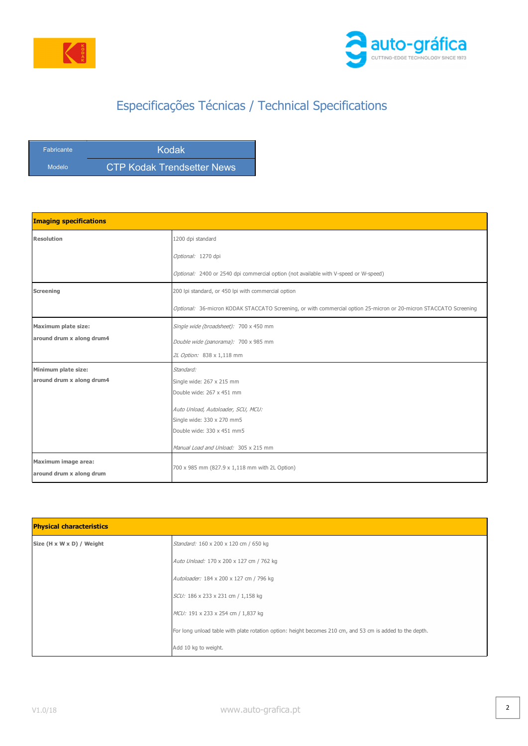



## Especificações Técnicas / Technical Specifications

| <b>Fabricante</b> | Kodak                      |
|-------------------|----------------------------|
| Modelo            | CTP Kodak Trendsetter News |

| <b>Imaging specifications</b> |                                                                                                                   |
|-------------------------------|-------------------------------------------------------------------------------------------------------------------|
| <b>Resolution</b>             | 1200 dpi standard                                                                                                 |
|                               | Optional: 1270 dpi                                                                                                |
|                               | Optional: 2400 or 2540 dpi commercial option (not available with V-speed or W-speed)                              |
| <b>Screening</b>              | 200 lpi standard, or 450 lpi with commercial option                                                               |
|                               | Optional: 36-micron KODAK STACCATO Screening, or with commercial option 25-micron or 20-micron STACCATO Screening |
| <b>Maximum plate size:</b>    | Single wide (broadsheet): 700 x 450 mm                                                                            |
| around drum x along drum4     | Double wide (panorama): 700 x 985 mm                                                                              |
|                               | 2L Option: 838 x 1,118 mm                                                                                         |
| Minimum plate size:           | Standard:                                                                                                         |
| around drum x along drum4     | Single wide: 267 x 215 mm                                                                                         |
|                               | Double wide: 267 x 451 mm                                                                                         |
|                               | Auto Unload, Autoloader, SCU, MCU:                                                                                |
|                               | Single wide: 330 x 270 mm5                                                                                        |
|                               | Double wide: 330 x 451 mm5                                                                                        |
|                               | Manual Load and Unload: 305 x 215 mm                                                                              |
| Maximum image area:           |                                                                                                                   |
| around drum x along drum      | 700 x 985 mm (827.9 x 1,118 mm with 2L Option)                                                                    |

| <b>Physical characteristics</b> |                                                                                                           |  |
|---------------------------------|-----------------------------------------------------------------------------------------------------------|--|
| Size (H x W x D) / Weight       | Standard: 160 x 200 x 120 cm / 650 kg                                                                     |  |
|                                 | Auto Unload: 170 x 200 x 127 cm / 762 kg                                                                  |  |
|                                 | Autoloader: 184 x 200 x 127 cm / 796 kg                                                                   |  |
|                                 | SCU: 186 x 233 x 231 cm / 1,158 kg                                                                        |  |
|                                 | MCU: 191 x 233 x 254 cm / 1,837 kg                                                                        |  |
|                                 | For long unload table with plate rotation option: height becomes 210 cm, and 53 cm is added to the depth. |  |
|                                 | Add 10 kg to weight.                                                                                      |  |